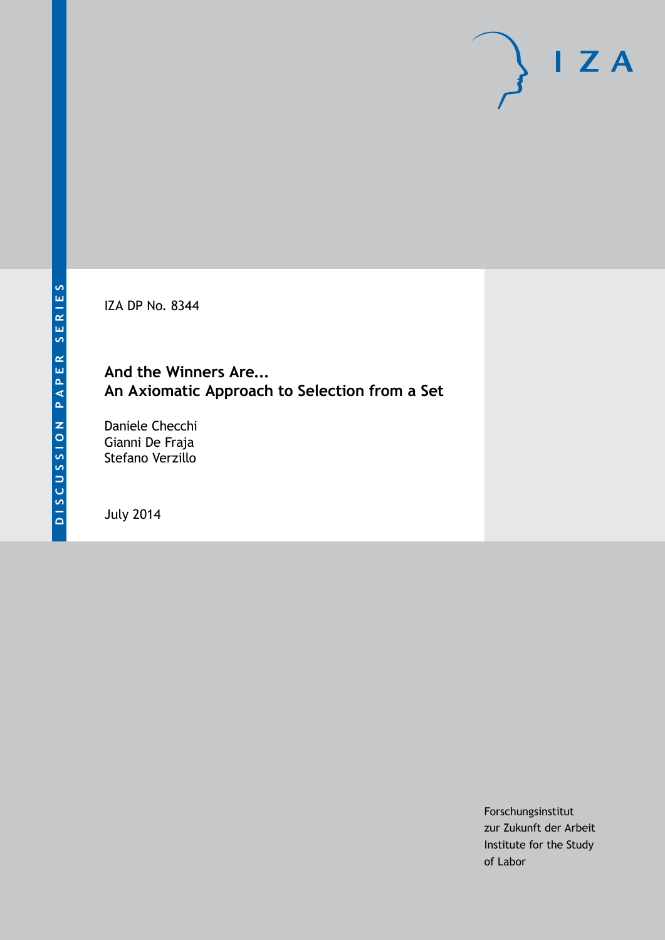IZA DP No. 8344

#### **And the Winners Are... An Axiomatic Approach to Selection from a Set**

Daniele Checchi Gianni De Fraja Stefano Verzillo

July 2014

Forschungsinstitut zur Zukunft der Arbeit Institute for the Study of Labor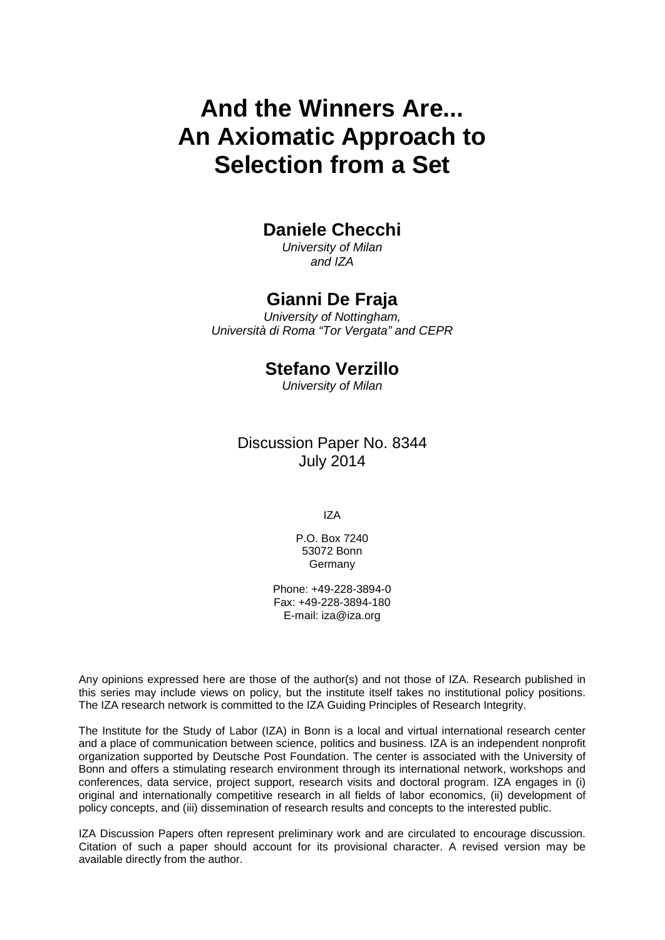# **And the Winners Are... An Axiomatic Approach to Selection from a Set**

#### **Daniele Checchi**

*University of Milan and IZA*

#### **Gianni De Fraja**

*University of Nottingham, Università di Roma "Tor Vergata" and CEPR*

#### **Stefano Verzillo**

*University of Milan*

#### Discussion Paper No. 8344 July 2014

IZA

P.O. Box 7240 53072 Bonn Germany

Phone: +49-228-3894-0 Fax: +49-228-3894-180 E-mail: [iza@iza.org](mailto:iza@iza.org)

Any opinions expressed here are those of the author(s) and not those of IZA. Research published in this series may include views on policy, but the institute itself takes no institutional policy positions. The IZA research network is committed to the IZA Guiding Principles of Research Integrity.

The Institute for the Study of Labor (IZA) in Bonn is a local and virtual international research center and a place of communication between science, politics and business. IZA is an independent nonprofit organization supported by Deutsche Post Foundation. The center is associated with the University of Bonn and offers a stimulating research environment through its international network, workshops and conferences, data service, project support, research visits and doctoral program. IZA engages in (i) original and internationally competitive research in all fields of labor economics, (ii) development of policy concepts, and (iii) dissemination of research results and concepts to the interested public.

<span id="page-1-0"></span>IZA Discussion Papers often represent preliminary work and are circulated to encourage discussion. Citation of such a paper should account for its provisional character. A revised version may be available directly from the author.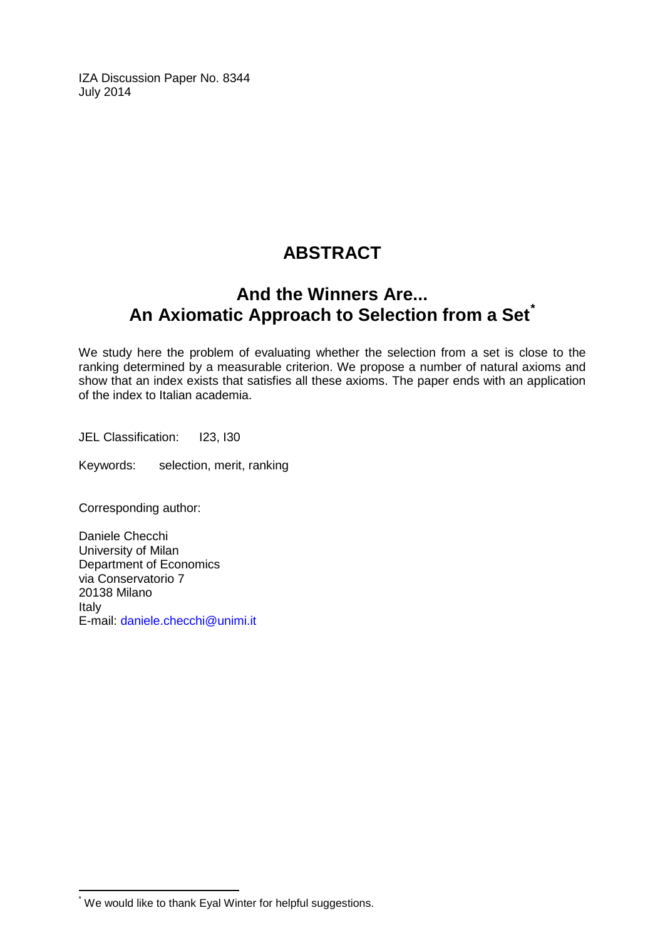IZA Discussion Paper No. 8344 July 2014

### **ABSTRACT**

### **And the Winners Are... An Axiomatic Approach to Selection from a Set[\\*](#page-1-0)**

We study here the problem of evaluating whether the selection from a set is close to the ranking determined by a measurable criterion. We propose a number of natural axioms and show that an index exists that satisfies all these axioms. The paper ends with an application of the index to Italian academia.

JEL Classification: I23, I30

Keywords: selection, merit, ranking

Corresponding author:

Daniele Checchi University of Milan Department of Economics via Conservatorio 7 20138 Milano Italy E-mail: [daniele.checchi@unimi.it](mailto:daniele.checchi@unimi.it)

\* We would like to thank Eyal Winter for helpful suggestions.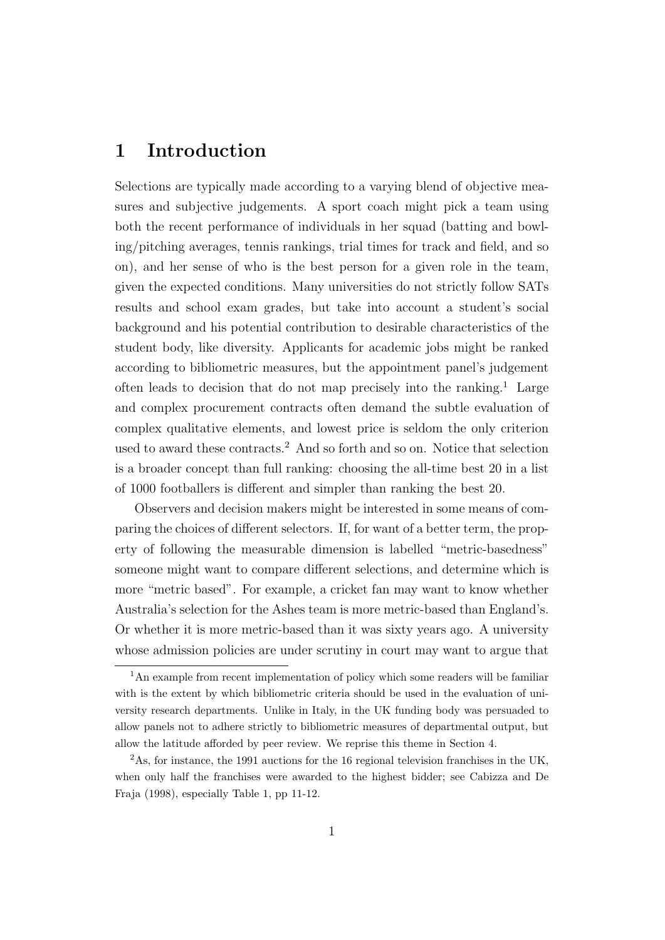### 1 Introduction

Selections are typically made according to a varying blend of objective measures and subjective judgements. A sport coach might pick a team using both the recent performance of individuals in her squad (batting and bowling/pitching averages, tennis rankings, trial times for track and field, and so on), and her sense of who is the best person for a given role in the team, given the expected conditions. Many universities do not strictly follow SATs results and school exam grades, but take into account a student's social background and his potential contribution to desirable characteristics of the student body, like diversity. Applicants for academic jobs might be ranked according to bibliometric measures, but the appointment panel's judgement often leads to decision that do not map precisely into the ranking.<sup>1</sup> Large and complex procurement contracts often demand the subtle evaluation of complex qualitative elements, and lowest price is seldom the only criterion used to award these contracts.<sup>2</sup> And so forth and so on. Notice that selection is a broader concept than full ranking: choosing the all-time best 20 in a list of 1000 footballers is different and simpler than ranking the best 20.

Observers and decision makers might be interested in some means of comparing the choices of different selectors. If, for want of a better term, the property of following the measurable dimension is labelled "metric-basedness" someone might want to compare different selections, and determine which is more "metric based". For example, a cricket fan may want to know whether Australia's selection for the Ashes team is more metric-based than England's. Or whether it is more metric-based than it was sixty years ago. A university whose admission policies are under scrutiny in court may want to argue that

<sup>&</sup>lt;sup>1</sup>An example from recent implementation of policy which some readers will be familiar with is the extent by which bibliometric criteria should be used in the evaluation of university research departments. Unlike in Italy, in the UK funding body was persuaded to allow panels not to adhere strictly to bibliometric measures of departmental output, but allow the latitude afforded by peer review. We reprise this theme in Section 4.

<sup>2</sup>As, for instance, the 1991 auctions for the 16 regional television franchises in the UK, when only half the franchises were awarded to the highest bidder; see Cabizza and De Fraja (1998), especially Table 1, pp 11-12.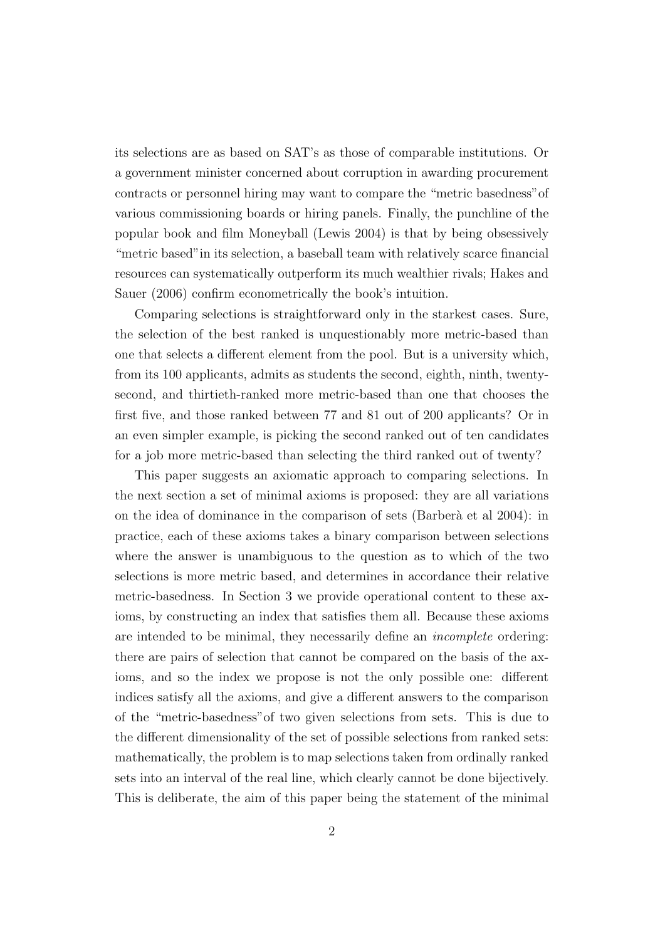its selections are as based on SAT's as those of comparable institutions. Or a government minister concerned about corruption in awarding procurement contracts or personnel hiring may want to compare the "metric basedness"of various commissioning boards or hiring panels. Finally, the punchline of the popular book and film Moneyball (Lewis 2004) is that by being obsessively "metric based"in its selection, a baseball team with relatively scarce financial resources can systematically outperform its much wealthier rivals; Hakes and Sauer (2006) confirm econometrically the book's intuition.

Comparing selections is straightforward only in the starkest cases. Sure, the selection of the best ranked is unquestionably more metric-based than one that selects a different element from the pool. But is a university which, from its 100 applicants, admits as students the second, eighth, ninth, twentysecond, and thirtieth-ranked more metric-based than one that chooses the first five, and those ranked between 77 and 81 out of 200 applicants? Or in an even simpler example, is picking the second ranked out of ten candidates for a job more metric-based than selecting the third ranked out of twenty?

This paper suggests an axiomatic approach to comparing selections. In the next section a set of minimal axioms is proposed: they are all variations on the idea of dominance in the comparison of sets (Barberà et al 2004): in practice, each of these axioms takes a binary comparison between selections where the answer is unambiguous to the question as to which of the two selections is more metric based, and determines in accordance their relative metric-basedness. In Section 3 we provide operational content to these axioms, by constructing an index that satisfies them all. Because these axioms are intended to be minimal, they necessarily define an incomplete ordering: there are pairs of selection that cannot be compared on the basis of the axioms, and so the index we propose is not the only possible one: different indices satisfy all the axioms, and give a different answers to the comparison of the "metric-basedness"of two given selections from sets. This is due to the different dimensionality of the set of possible selections from ranked sets: mathematically, the problem is to map selections taken from ordinally ranked sets into an interval of the real line, which clearly cannot be done bijectively. This is deliberate, the aim of this paper being the statement of the minimal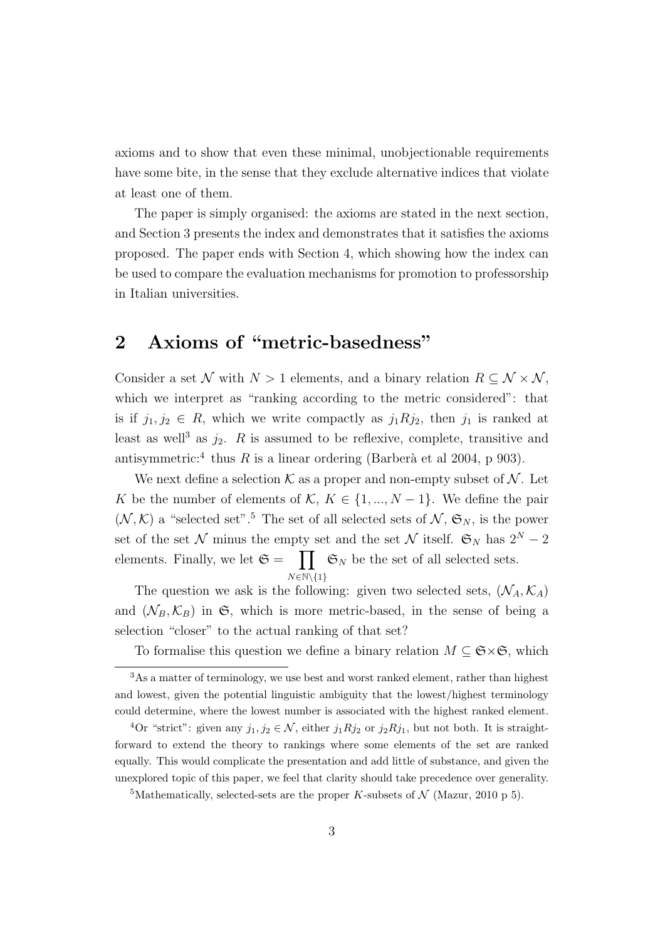axioms and to show that even these minimal, unobjectionable requirements have some bite, in the sense that they exclude alternative indices that violate at least one of them.

The paper is simply organised: the axioms are stated in the next section, and Section 3 presents the index and demonstrates that it satisfies the axioms proposed. The paper ends with Section 4, which showing how the index can be used to compare the evaluation mechanisms for promotion to professorship in Italian universities.

### 2 Axioms of "metric-basedness"

Consider a set N with  $N > 1$  elements, and a binary relation  $R \subseteq \mathcal{N} \times \mathcal{N}$ , which we interpret as "ranking according to the metric considered": that is if  $j_1, j_2 \in R$ , which we write compactly as  $j_1Rj_2$ , then  $j_1$  is ranked at least as well<sup>3</sup> as  $j_2$ . R is assumed to be reflexive, complete, transitive and antisymmetric:<sup>4</sup> thus R is a linear ordering (Barberà et al 2004, p 903).

We next define a selection  $\mathcal K$  as a proper and non-empty subset of  $\mathcal N$ . Let K be the number of elements of  $\mathcal{K}, K \in \{1, ..., N-1\}$ . We define the pair  $(N, K)$  a "selected set".<sup>5</sup> The set of all selected sets of  $N, \mathfrak{S}_N$ , is the power set of the set  $\mathcal N$  minus the empty set and the set  $\mathcal N$  itself.  $\mathfrak{S}_N$  has  $2^N - 2$ elements. Finally, we let  $\mathfrak{S} = \prod_{N} \mathfrak{S}_{N}$  be the set of all selected sets.  $N \in \mathbb{N} \setminus \{1\}$ 

The question we ask is the following: given two selected sets,  $(\mathcal{N}_A, \mathcal{K}_A)$ and  $(\mathcal{N}_B, \mathcal{K}_B)$  in  $\mathfrak{S}$ , which is more metric-based, in the sense of being a selection "closer" to the actual ranking of that set?

To formalise this question we define a binary relation  $M \subseteq \mathfrak{S} \times \mathfrak{S}$ , which

<sup>3</sup>As a matter of terminology, we use best and worst ranked element, rather than highest and lowest, given the potential linguistic ambiguity that the lowest/highest terminology could determine, where the lowest number is associated with the highest ranked element.

<sup>&</sup>lt;sup>4</sup>Or "strict": given any  $j_1, j_2 \in \mathcal{N}$ , either  $j_1Rj_2$  or  $j_2Rj_1$ , but not both. It is straightforward to extend the theory to rankings where some elements of the set are ranked equally. This would complicate the presentation and add little of substance, and given the unexplored topic of this paper, we feel that clarity should take precedence over generality.

<sup>&</sup>lt;sup>5</sup>Mathematically, selected-sets are the proper K-subsets of  $\mathcal N$  (Mazur, 2010 p 5).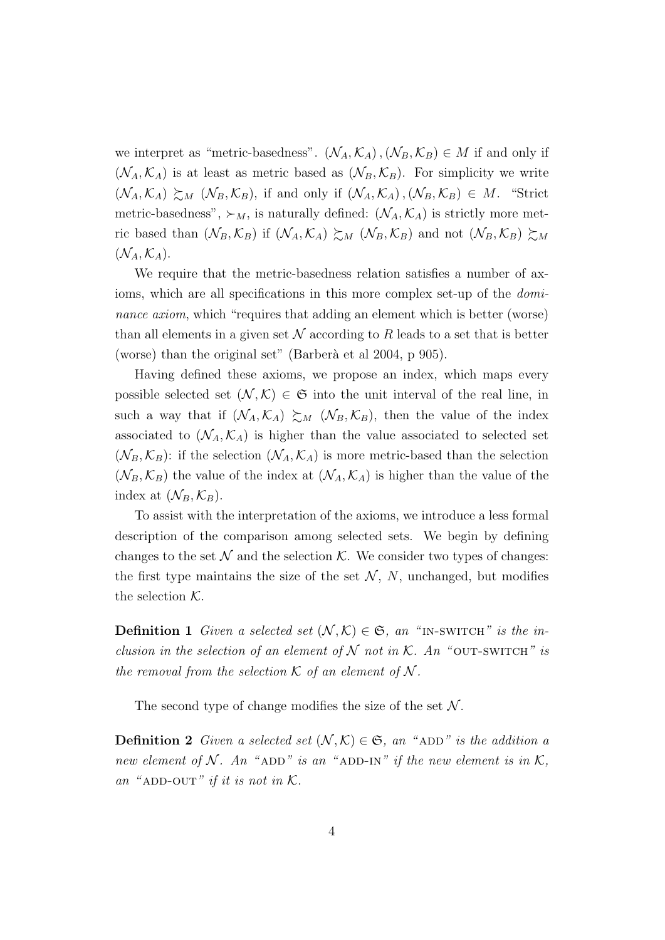we interpret as "metric-basedness".  $(\mathcal{N}_A, \mathcal{K}_A), (\mathcal{N}_B, \mathcal{K}_B) \in M$  if and only if  $(\mathcal{N}_A, \mathcal{K}_A)$  is at least as metric based as  $(\mathcal{N}_B, \mathcal{K}_B)$ . For simplicity we write  $(\mathcal{N}_A, \mathcal{K}_A) \succeq_M (\mathcal{N}_B, \mathcal{K}_B)$ , if and only if  $(\mathcal{N}_A, \mathcal{K}_A), (\mathcal{N}_B, \mathcal{K}_B) \in M$ . "Strict" metric-basedness",  $\succ_M$ , is naturally defined:  $(\mathcal{N}_A, \mathcal{K}_A)$  is strictly more metric based than  $(\mathcal{N}_B, \mathcal{K}_B)$  if  $(\mathcal{N}_A, \mathcal{K}_A) \succeq_M (\mathcal{N}_B, \mathcal{K}_B)$  and not  $(\mathcal{N}_B, \mathcal{K}_B) \succeq_M$  $(\mathcal{N}_A, \mathcal{K}_A).$ 

We require that the metric-basedness relation satisfies a number of axioms, which are all specifications in this more complex set-up of the *domi*nance axiom, which "requires that adding an element which is better (worse) than all elements in a given set  $\mathcal N$  according to R leads to a set that is better (worse) than the original set" (Barberà et al 2004, p 905).

Having defined these axioms, we propose an index, which maps every possible selected set  $(\mathcal{N}, \mathcal{K}) \in \mathfrak{S}$  into the unit interval of the real line, in such a way that if  $(\mathcal{N}_A, \mathcal{K}_A) \succeq_M (\mathcal{N}_B, \mathcal{K}_B)$ , then the value of the index associated to  $(\mathcal{N}_A, \mathcal{K}_A)$  is higher than the value associated to selected set  $(\mathcal{N}_B, \mathcal{K}_B)$ : if the selection  $(\mathcal{N}_A, \mathcal{K}_A)$  is more metric-based than the selection  $(\mathcal{N}_B, \mathcal{K}_B)$  the value of the index at  $(\mathcal{N}_A, \mathcal{K}_A)$  is higher than the value of the index at  $(\mathcal{N}_B, \mathcal{K}_B)$ .

To assist with the interpretation of the axioms, we introduce a less formal description of the comparison among selected sets. We begin by defining changes to the set  $\mathcal N$  and the selection  $\mathcal K$ . We consider two types of changes: the first type maintains the size of the set  $N$ , N, unchanged, but modifies the selection  $K$ .

**Definition 1** Given a selected set  $(\mathcal{N}, \mathcal{K}) \in \mathfrak{S}$ , an "IN-SWITCH" is the inclusion in the selection of an element of  $N$  not in  $K$ . An "OUT-SWITCH" is the removal from the selection  $K$  of an element of  $N$ .

The second type of change modifies the size of the set  $\mathcal N$ .

**Definition 2** Given a selected set  $(N, K) \in \mathfrak{S}$ , an "ADD" is the addition a new element of N. An "ADD" is an "ADD-IN" if the new element is in  $\mathcal{K}$ , an "ADD-OUT" if it is not in  $K$ .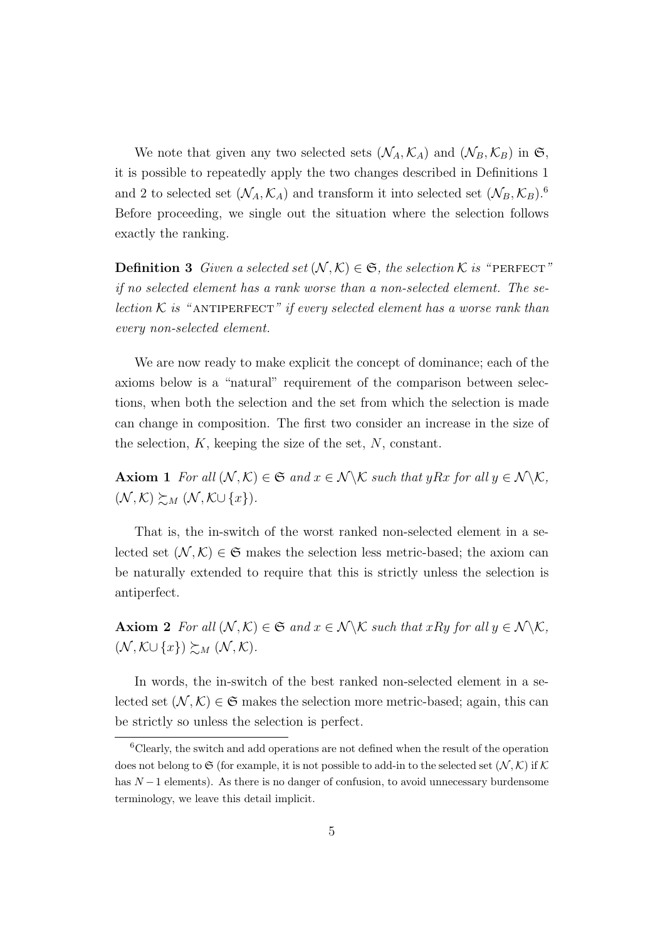We note that given any two selected sets  $(\mathcal{N}_A, \mathcal{K}_A)$  and  $(\mathcal{N}_B, \mathcal{K}_B)$  in  $\mathfrak{S}$ , it is possible to repeatedly apply the two changes described in Definitions 1 and 2 to selected set  $(\mathcal{N}_A, \mathcal{K}_A)$  and transform it into selected set  $(\mathcal{N}_B, \mathcal{K}_B)$ .<sup>6</sup> Before proceeding, we single out the situation where the selection follows exactly the ranking.

**Definition 3** Given a selected set  $(N, K) \in \mathfrak{S}$ , the selection K is "PERFECT" if no selected element has a rank worse than a non-selected element. The selection  $K$  is "ANTIPERFECT" if every selected element has a worse rank than every non-selected element.

We are now ready to make explicit the concept of dominance; each of the axioms below is a "natural" requirement of the comparison between selections, when both the selection and the set from which the selection is made can change in composition. The first two consider an increase in the size of the selection,  $K$ , keeping the size of the set,  $N$ , constant.

**Axiom 1** For all  $(N, K) \in \mathfrak{S}$  and  $x \in \mathcal{N} \setminus \mathcal{K}$  such that yRx for all  $y \in \mathcal{N} \setminus \mathcal{K}$ ,  $(\mathcal{N}, \mathcal{K}) \succsim_{M} (\mathcal{N}, \mathcal{K} \cup \{x\}).$ 

That is, the in-switch of the worst ranked non-selected element in a selected set  $(\mathcal{N}, \mathcal{K}) \in \mathfrak{S}$  makes the selection less metric-based; the axiom can be naturally extended to require that this is strictly unless the selection is antiperfect.

Axiom 2 For all  $(N, K) \in \mathfrak{S}$  and  $x \in \mathcal{N} \backslash \mathcal{K}$  such that  $xRy$  for all  $y \in \mathcal{N} \backslash \mathcal{K}$ ,  $(\mathcal{N}, \mathcal{K} \cup \{x\}) \succsim_{M} (\mathcal{N}, \mathcal{K}).$ 

In words, the in-switch of the best ranked non-selected element in a selected set  $(\mathcal{N}, \mathcal{K}) \in \mathfrak{S}$  makes the selection more metric-based; again, this can be strictly so unless the selection is perfect.

<sup>6</sup>Clearly, the switch and add operations are not defined when the result of the operation does not belong to  $\mathfrak S$  (for example, it is not possible to add-in to the selected set  $(\mathcal N,\mathcal K)$  if  $\mathcal K$ has  $N-1$  elements). As there is no danger of confusion, to avoid unnecessary burdensome terminology, we leave this detail implicit.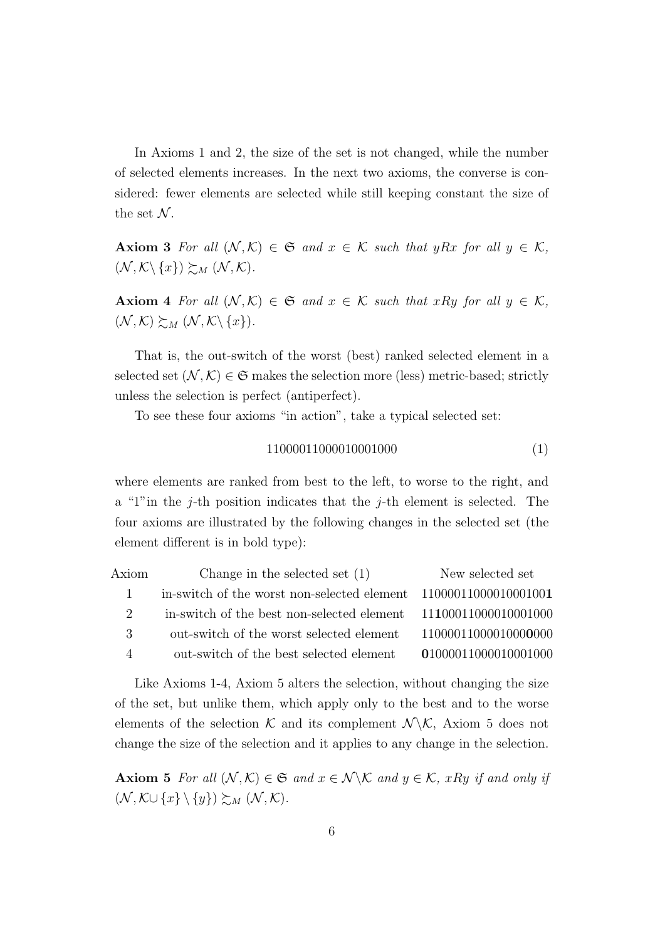In Axioms 1 and 2, the size of the set is not changed, while the number of selected elements increases. In the next two axioms, the converse is considered: fewer elements are selected while still keeping constant the size of the set  $N$ .

Axiom 3 For all  $(N, K) \in \mathfrak{S}$  and  $x \in K$  such that yRx for all  $y \in K$ ,  $(\mathcal{N}, \mathcal{K}\backslash \{x\}) \succsim_{M} (\mathcal{N}, \mathcal{K}).$ 

Axiom 4 For all  $(N, K) \in \mathfrak{S}$  and  $x \in K$  such that xRy for all  $y \in K$ ,  $(\mathcal{N}, \mathcal{K}) \succeq_M (\mathcal{N}, \mathcal{K} \backslash \{x\}).$ 

That is, the out-switch of the worst (best) ranked selected element in a selected set  $(\mathcal{N}, \mathcal{K}) \in \mathfrak{S}$  makes the selection more (less) metric-based; strictly unless the selection is perfect (antiperfect).

To see these four axioms "in action", take a typical selected set:

$$
11000011000010001000 \tag{1}
$$

where elements are ranked from best to the left, to worse to the right, and a "1" in the j-th position indicates that the j-th element is selected. The four axioms are illustrated by the following changes in the selected set (the element different is in bold type):

| Axiom                       | Change in the selected set $(1)$                                  | New selected set     |
|-----------------------------|-------------------------------------------------------------------|----------------------|
|                             | in-switch of the worst non-selected element $1100001100001001001$ |                      |
| $\mathcal{D}_{\mathcal{L}}$ | in-switch of the best non-selected element $11100011000010001000$ |                      |
| 3                           | out-switch of the worst selected element                          | 11000011000010000000 |
| $\overline{4}$              | out-switch of the best selected element                           | 01000011000010001000 |
|                             |                                                                   |                      |

Like Axioms 1-4, Axiom 5 alters the selection, without changing the size of the set, but unlike them, which apply only to the best and to the worse elements of the selection K and its complement  $\mathcal{N} \backslash \mathcal{K}$ , Axiom 5 does not change the size of the selection and it applies to any change in the selection.

Axiom 5 For all  $(N, K) \in \mathfrak{S}$  and  $x \in \mathcal{N} \backslash \mathcal{K}$  and  $y \in \mathcal{K}$ , xRy if and only if  $(\mathcal{N}, \mathcal{K}\cup\{x\}\setminus\{y\})\succsim_{M} (\mathcal{N}, \mathcal{K}).$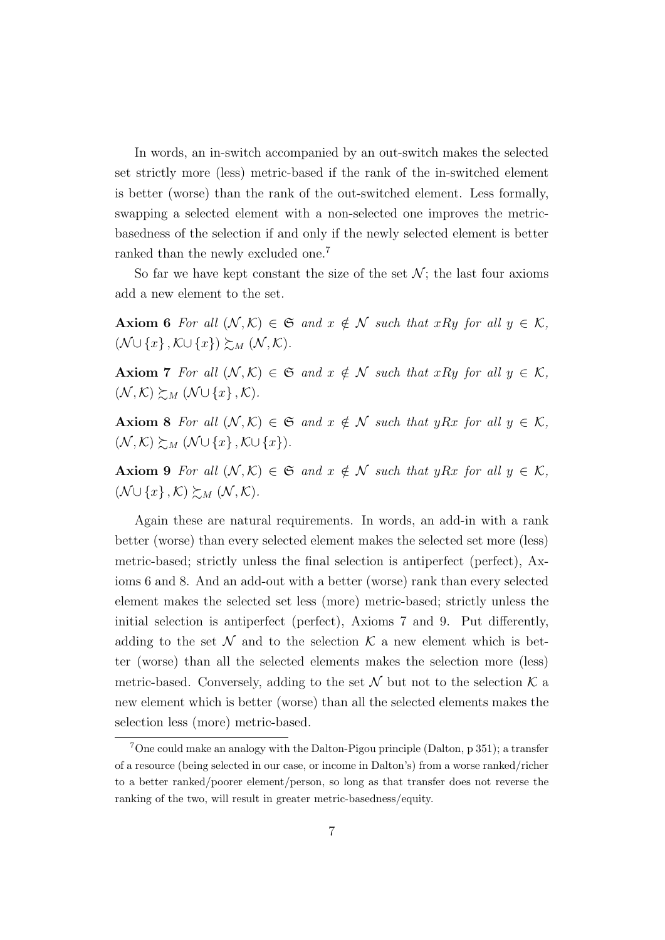In words, an in-switch accompanied by an out-switch makes the selected set strictly more (less) metric-based if the rank of the in-switched element is better (worse) than the rank of the out-switched element. Less formally, swapping a selected element with a non-selected one improves the metricbasedness of the selection if and only if the newly selected element is better ranked than the newly excluded one.<sup>7</sup>

So far we have kept constant the size of the set  $\mathcal{N}$ ; the last four axioms add a new element to the set.

Axiom 6 For all  $(N, K) \in \mathfrak{S}$  and  $x \notin N$  such that xRy for all  $y \in K$ ,  $(\mathcal{N} \cup \{x\}, \mathcal{K} \cup \{x\}) \succeq_{\mathcal{M}} (\mathcal{N}, \mathcal{K}).$ 

Axiom 7 For all  $(N, K) \in \mathfrak{S}$  and  $x \notin N$  such that xRy for all  $y \in K$ ,  $(\mathcal{N}, \mathcal{K}) \succeq_M (\mathcal{N} \cup \{x\}, \mathcal{K}).$ 

Axiom 8 For all  $(N, K) \in \mathfrak{S}$  and  $x \notin N$  such that yRx for all  $y \in K$ ,  $(\mathcal{N}, \mathcal{K}) \succeq_M (\mathcal{N} \cup \{x\}, \mathcal{K} \cup \{x\}).$ 

Axiom 9 For all  $(N, K) \in \mathfrak{S}$  and  $x \notin N$  such that yRx for all  $y \in K$ ,  $(\mathcal{N} \cup \{x\}, \mathcal{K}) \succsim_{M} (\mathcal{N}, \mathcal{K}).$ 

Again these are natural requirements. In words, an add-in with a rank better (worse) than every selected element makes the selected set more (less) metric-based; strictly unless the final selection is antiperfect (perfect), Axioms 6 and 8. And an add-out with a better (worse) rank than every selected element makes the selected set less (more) metric-based; strictly unless the initial selection is antiperfect (perfect), Axioms 7 and 9. Put differently, adding to the set  $\mathcal N$  and to the selection  $\mathcal K$  a new element which is better (worse) than all the selected elements makes the selection more (less) metric-based. Conversely, adding to the set  $\mathcal N$  but not to the selection  $\mathcal K$  a new element which is better (worse) than all the selected elements makes the selection less (more) metric-based.

<sup>7</sup>One could make an analogy with the Dalton-Pigou principle (Dalton, p 351); a transfer of a resource (being selected in our case, or income in Dalton's) from a worse ranked/richer to a better ranked/poorer element/person, so long as that transfer does not reverse the ranking of the two, will result in greater metric-basedness/equity.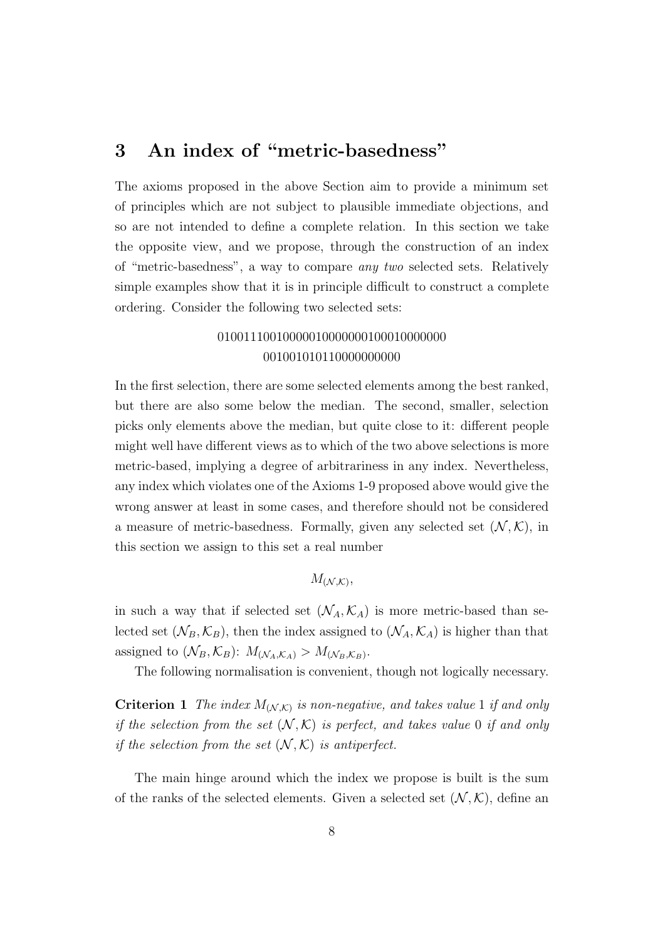#### 3 An index of "metric-basedness"

The axioms proposed in the above Section aim to provide a minimum set of principles which are not subject to plausible immediate objections, and so are not intended to define a complete relation. In this section we take the opposite view, and we propose, through the construction of an index of "metric-basedness", a way to compare any two selected sets. Relatively simple examples show that it is in principle difficult to construct a complete ordering. Consider the following two selected sets:

#### 01001110010000010000000100010000000 001001010110000000000

In the first selection, there are some selected elements among the best ranked, but there are also some below the median. The second, smaller, selection picks only elements above the median, but quite close to it: different people might well have different views as to which of the two above selections is more metric-based, implying a degree of arbitrariness in any index. Nevertheless, any index which violates one of the Axioms 1-9 proposed above would give the wrong answer at least in some cases, and therefore should not be considered a measure of metric-basedness. Formally, given any selected set  $(\mathcal{N}, \mathcal{K})$ , in this section we assign to this set a real number

 $M_{(\mathcal{N},\mathcal{K})},$ 

in such a way that if selected set  $(\mathcal{N}_A, \mathcal{K}_A)$  is more metric-based than selected set  $(\mathcal{N}_B, \mathcal{K}_B)$ , then the index assigned to  $(\mathcal{N}_A, \mathcal{K}_A)$  is higher than that assigned to  $(\mathcal{N}_B, \mathcal{K}_B)$ :  $M_{(\mathcal{N}_A, \mathcal{K}_A)} > M_{(\mathcal{N}_B, \mathcal{K}_B)}$ .

The following normalisation is convenient, though not logically necessary.

**Criterion 1** The index  $M_{(\mathcal{N},\mathcal{K})}$  is non-negative, and takes value 1 if and only if the selection from the set  $(N, K)$  is perfect, and takes value 0 if and only if the selection from the set  $(\mathcal{N}, \mathcal{K})$  is antiperfect.

The main hinge around which the index we propose is built is the sum of the ranks of the selected elements. Given a selected set  $(\mathcal{N}, \mathcal{K})$ , define an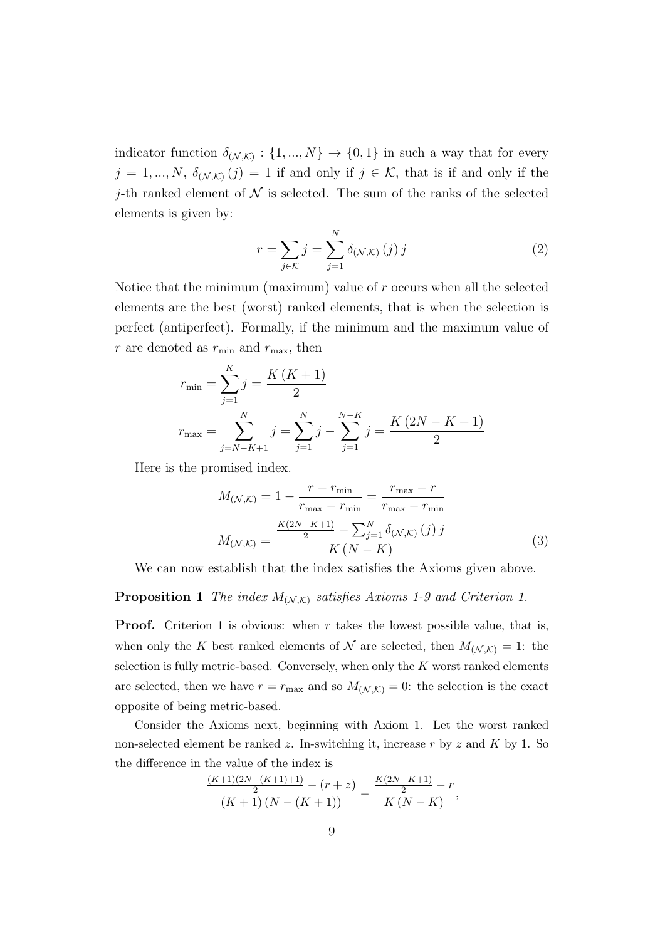indicator function  $\delta_{(\mathcal{N},\mathcal{K})} : \{1,...,N\} \to \{0,1\}$  in such a way that for every  $j = 1, ..., N$ ,  $\delta_{(\mathcal{N},\mathcal{K})}(j) = 1$  if and only if  $j \in \mathcal{K}$ , that is if and only if the *j*-th ranked element of  $N$  is selected. The sum of the ranks of the selected elements is given by:

$$
r = \sum_{j \in \mathcal{K}} j = \sum_{j=1}^{N} \delta_{\left(\mathcal{N},\mathcal{K}\right)}\left(j\right)j\tag{2}
$$

Notice that the minimum (maximum) value of r occurs when all the selected elements are the best (worst) ranked elements, that is when the selection is perfect (antiperfect). Formally, if the minimum and the maximum value of r are denoted as  $r_{\min}$  and  $r_{\max}$ , then

$$
r_{\min} = \sum_{j=1}^{K} j = \frac{K(K+1)}{2}
$$

$$
r_{\max} = \sum_{j=N-K+1}^{N} j = \sum_{j=1}^{N} j - \sum_{j=1}^{N-K} j = \frac{K(2N-K+1)}{2}
$$

Here is the promised index.

$$
M_{(\mathcal{N},\mathcal{K})} = 1 - \frac{r - r_{\min}}{r_{\max} - r_{\min}} = \frac{r_{\max} - r}{r_{\max} - r_{\min}}
$$

$$
M_{(\mathcal{N},\mathcal{K})} = \frac{\frac{K(2N - K + 1)}{2} - \sum_{j=1}^{N} \delta_{(\mathcal{N},\mathcal{K})}(j) j}{K(N - K)}
$$
(3)

We can now establish that the index satisfies the Axioms given above.

#### **Proposition 1** The index  $M_{(\mathcal{N},\mathcal{K})}$  satisfies Axioms 1-9 and Criterion 1.

**Proof.** Criterion 1 is obvious: when r takes the lowest possible value, that is, when only the K best ranked elements of N are selected, then  $M_{(\mathcal{N},\mathcal{K})}=1$ : the selection is fully metric-based. Conversely, when only the  $K$  worst ranked elements are selected, then we have  $r = r_{\text{max}}$  and so  $M_{(\mathcal{N},\mathcal{K})} = 0$ : the selection is the exact opposite of being metric-based.

Consider the Axioms next, beginning with Axiom 1. Let the worst ranked non-selected element be ranked z. In-switching it, increase r by z and K by 1. So the difference in the value of the index is

$$
\frac{\frac{(K+1)(2N-(K+1)+1)}{2}-(r+z)}{(K+1)(N-(K+1))}-\frac{\frac{K(2N-K+1)}{2}-r}{K(N-K)},
$$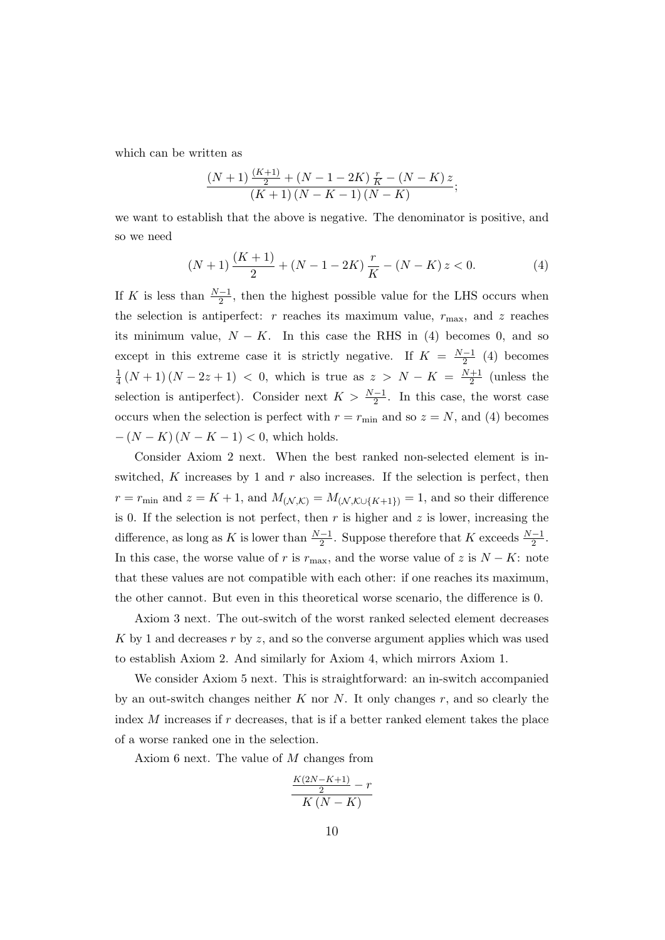which can be written as

$$
\frac{(N+1)\frac{(K+1)}{2} + (N-1-2K)\frac{r}{K} - (N-K)z}{(K+1)(N-K-1)(N-K)};
$$

we want to establish that the above is negative. The denominator is positive, and so we need

$$
(N+1)\frac{(K+1)}{2} + (N-1-2K)\frac{r}{K} - (N-K)z < 0. \tag{4}
$$

If K is less than  $\frac{N-1}{2}$ , then the highest possible value for the LHS occurs when the selection is antiperfect: r reaches its maximum value,  $r_{\text{max}}$ , and z reaches its minimum value,  $N - K$ . In this case the RHS in (4) becomes 0, and so except in this extreme case it is strictly negative. If  $K = \frac{N-1}{2}$  $\frac{-1}{2}$  (4) becomes 1  $\frac{1}{4}(N+1)(N-2z+1)$  < 0, which is true as  $z > N - K = \frac{N+1}{2}$  $\frac{+1}{2}$  (unless the selection is antiperfect). Consider next  $K > \frac{N-1}{2}$ . In this case, the worst case occurs when the selection is perfect with  $r = r_{\text{min}}$  and so  $z = N$ , and (4) becomes  $-(N - K)(N - K - 1) < 0$ , which holds.

Consider Axiom 2 next. When the best ranked non-selected element is inswitched, K increases by 1 and  $r$  also increases. If the selection is perfect, then  $r = r_{\min}$  and  $z = K + 1$ , and  $M_{(\mathcal{N},\mathcal{K})} = M_{(\mathcal{N},\mathcal{K}\cup\{K+1\})} = 1$ , and so their difference is 0. If the selection is not perfect, then  $r$  is higher and  $z$  is lower, increasing the difference, as long as K is lower than  $\frac{N-1}{2}$ . Suppose therefore that K exceeds  $\frac{N-1}{2}$ . In this case, the worse value of r is  $r_{\text{max}}$ , and the worse value of z is  $N - K$ : note that these values are not compatible with each other: if one reaches its maximum, the other cannot. But even in this theoretical worse scenario, the difference is 0.

Axiom 3 next. The out-switch of the worst ranked selected element decreases K by 1 and decreases r by z, and so the converse argument applies which was used to establish Axiom 2. And similarly for Axiom 4, which mirrors Axiom 1.

We consider Axiom 5 next. This is straightforward: an in-switch accompanied by an out-switch changes neither K nor N. It only changes  $r$ , and so clearly the index  $M$  increases if  $r$  decreases, that is if a better ranked element takes the place of a worse ranked one in the selection.

Axiom 6 next. The value of M changes from

$$
\frac{\frac{K(2N-K+1)}{2}-r}{K(N-K)}
$$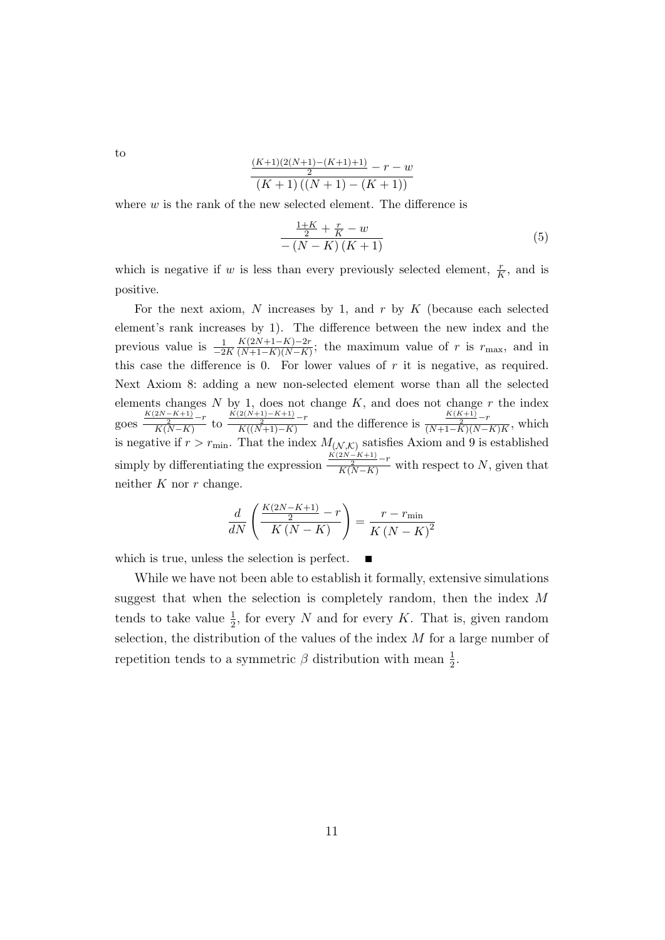to

$$
\frac{\frac{(K+1)(2(N+1)-(K+1)+1)}{2}-r-w}{(K+1)((N+1)-(K+1))}
$$

where  $w$  is the rank of the new selected element. The difference is

$$
\frac{\frac{1+K}{2} + \frac{r}{K} - w}{-\left(N - K\right)\left(K + 1\right)}\tag{5}
$$

which is negative if w is less than every previously selected element,  $\frac{r}{K}$ , and is positive.

For the next axiom, N increases by 1, and  $r$  by  $K$  (because each selected element's rank increases by 1). The difference between the new index and the previous value is  $\frac{1}{-2K}$  $K(2N+1-K)-2r$  $\frac{K(2N+1-K)-2r}{(N+1-K)(N-K)}$ ; the maximum value of r is  $r_{\text{max}}$ , and in this case the difference is 0. For lower values of  $r$  it is negative, as required. Next Axiom 8: adding a new non-selected element worse than all the selected elements changes  $N$  by 1, does not change  $K$ , and does not change  $r$  the index goes  $\frac{K(2N-K+1)}{K(N-K)}-r$  to  $\frac{K(2(N+1)-K+1)}{K((N+1)-K)}-r$  and the difference is  $\frac{K(K+1)}{(N+1-K)(N-K)K}$ , which is negative if  $r > r_{\text{min}}$ . That the index  $M_{(\mathcal{N},\mathcal{K})}$  satisfies Axiom and 9 is established simply by differentiating the expression  $\frac{K(2N-K+1)}{K(N-K)}$  with respect to N, given that neither  $K$  nor  $r$  change.

$$
\frac{d}{dN} \left( \frac{\frac{K(2N-K+1)}{2} - r}{K(N-K)} \right) = \frac{r - r_{\text{min}}}{K(N-K)^2}
$$

which is true, unless the selection is perfect.

While we have not been able to establish it formally, extensive simulations suggest that when the selection is completely random, then the index M tends to take value  $\frac{1}{2}$ , for every N and for every K. That is, given random selection, the distribution of the values of the index  $M$  for a large number of repetition tends to a symmetric  $\beta$  distribution with mean  $\frac{1}{2}$ .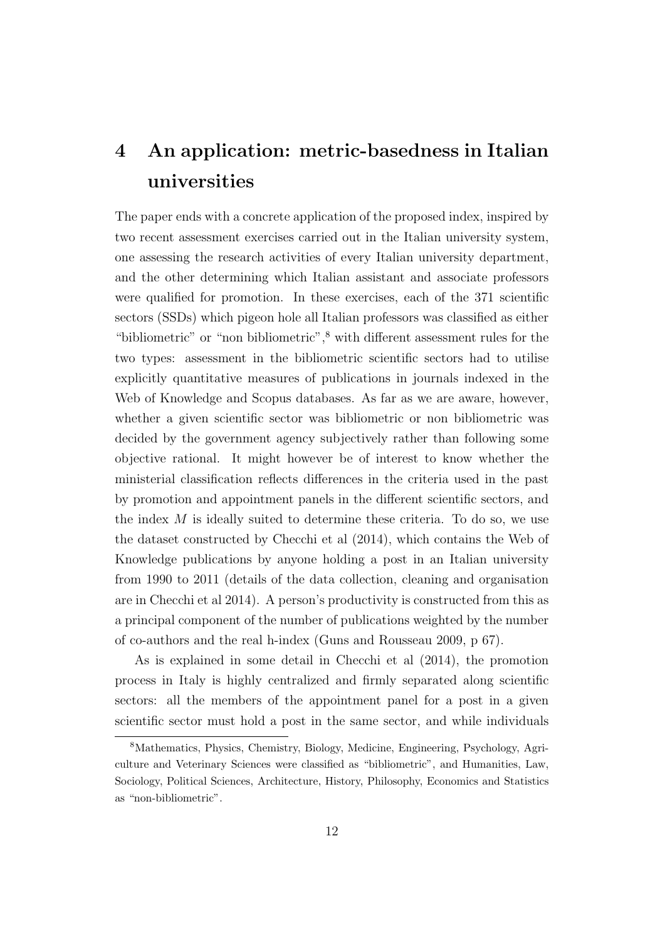## 4 An application: metric-basedness in Italian universities

The paper ends with a concrete application of the proposed index, inspired by two recent assessment exercises carried out in the Italian university system, one assessing the research activities of every Italian university department, and the other determining which Italian assistant and associate professors were qualified for promotion. In these exercises, each of the 371 scientific sectors (SSDs) which pigeon hole all Italian professors was classified as either "bibliometric" or "non bibliometric",<sup>8</sup> with different assessment rules for the two types: assessment in the bibliometric scientific sectors had to utilise explicitly quantitative measures of publications in journals indexed in the Web of Knowledge and Scopus databases. As far as we are aware, however, whether a given scientific sector was bibliometric or non bibliometric was decided by the government agency subjectively rather than following some objective rational. It might however be of interest to know whether the ministerial classification reflects differences in the criteria used in the past by promotion and appointment panels in the different scientific sectors, and the index  $M$  is ideally suited to determine these criteria. To do so, we use the dataset constructed by Checchi et al (2014), which contains the Web of Knowledge publications by anyone holding a post in an Italian university from 1990 to 2011 (details of the data collection, cleaning and organisation are in Checchi et al 2014). A person's productivity is constructed from this as a principal component of the number of publications weighted by the number of co-authors and the real h-index (Guns and Rousseau 2009, p 67).

As is explained in some detail in Checchi et al (2014), the promotion process in Italy is highly centralized and firmly separated along scientific sectors: all the members of the appointment panel for a post in a given scientific sector must hold a post in the same sector, and while individuals

<sup>8</sup>Mathematics, Physics, Chemistry, Biology, Medicine, Engineering, Psychology, Agriculture and Veterinary Sciences were classified as "bibliometric", and Humanities, Law, Sociology, Political Sciences, Architecture, History, Philosophy, Economics and Statistics as "non-bibliometric".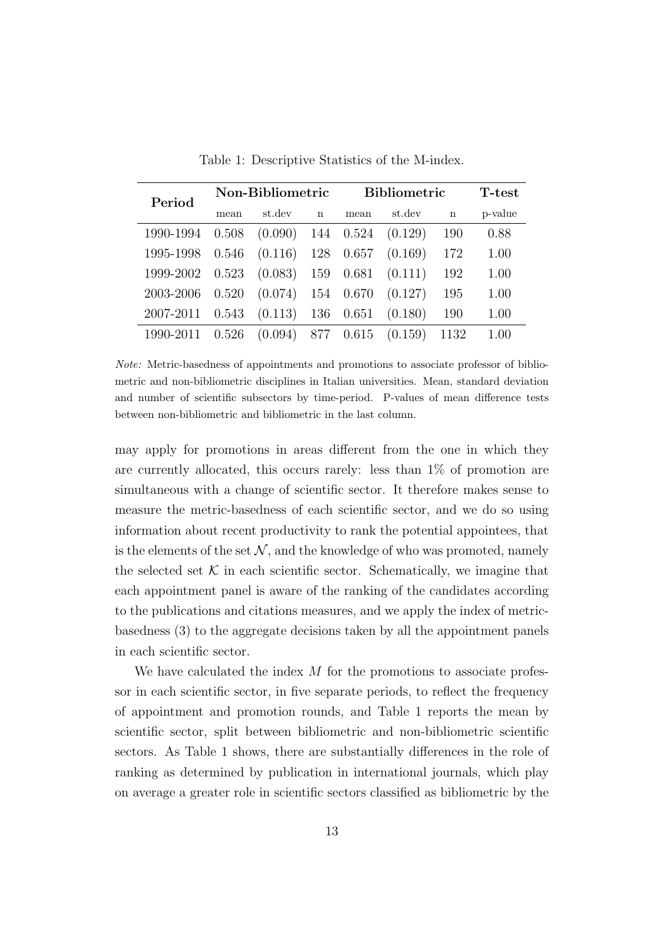| Non-Bibliometric |         | <b>Bibliometric</b> |                      |                                                  | <b>T</b> -test |         |
|------------------|---------|---------------------|----------------------|--------------------------------------------------|----------------|---------|
| mean             | st.dev  | $\mathbf n$         | mean                 | st.dev                                           | $\mathbf n$    | p-value |
| 0.508            |         |                     |                      | (0.129)                                          | 190            | 0.88    |
| 0.546            | (0.116) |                     |                      | (0.169)                                          | 172            | 1.00    |
| 0.523            |         |                     | 0.681                | (0.111)                                          | 192            | 1.00    |
| 0.520            | (0.074) |                     |                      | (0.127)                                          | 195            | 1.00    |
| 0.543            | (0.113) | 136                 | 0.651                | (0.180)                                          | 190            | 1.00    |
| 0.526            | (0.094) |                     |                      | (0.159)                                          | 1132           | 1.00    |
|                  |         |                     | 128<br>$(0.083)$ 159 | $(0.090)$ 144 0.524<br>0.657<br>154 0.670<br>877 | 0.615          |         |

Table 1: Descriptive Statistics of the M-index.

Note: Metric-basedness of appointments and promotions to associate professor of bibliometric and non-bibliometric disciplines in Italian universities. Mean, standard deviation and number of scientific subsectors by time-period. P-values of mean difference tests between non-bibliometric and bibliometric in the last column.

may apply for promotions in areas different from the one in which they are currently allocated, this occurs rarely: less than 1% of promotion are simultaneous with a change of scientific sector. It therefore makes sense to measure the metric-basedness of each scientific sector, and we do so using information about recent productivity to rank the potential appointees, that is the elements of the set  $\mathcal N$ , and the knowledge of who was promoted, namely the selected set  $K$  in each scientific sector. Schematically, we imagine that each appointment panel is aware of the ranking of the candidates according to the publications and citations measures, and we apply the index of metricbasedness (3) to the aggregate decisions taken by all the appointment panels in each scientific sector.

We have calculated the index  $M$  for the promotions to associate professor in each scientific sector, in five separate periods, to reflect the frequency of appointment and promotion rounds, and Table 1 reports the mean by scientific sector, split between bibliometric and non-bibliometric scientific sectors. As Table 1 shows, there are substantially differences in the role of ranking as determined by publication in international journals, which play on average a greater role in scientific sectors classified as bibliometric by the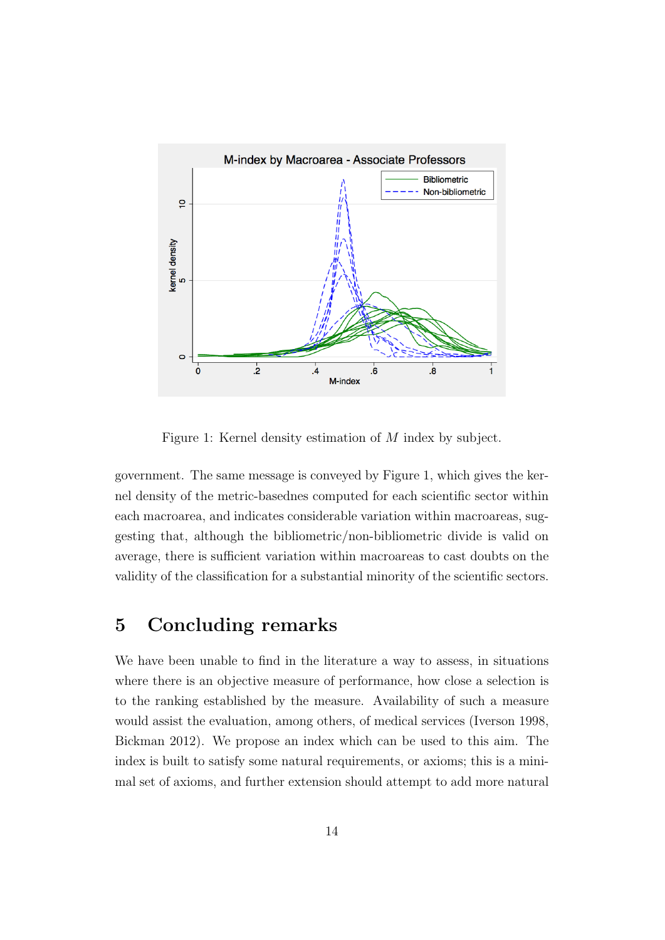

Figure 1: Kernel density estimation of M index by subject.

government. The same message is conveyed by Figure 1, which gives the kernel density of the metric-basednes computed for each scientific sector within each macroarea, and indicates considerable variation within macroareas, suggesting that, although the bibliometric/non-bibliometric divide is valid on average, there is sufficient variation within macroareas to cast doubts on the validity of the classification for a substantial minority of the scientific sectors.

#### 5 Concluding remarks

We have been unable to find in the literature a way to assess, in situations where there is an objective measure of performance, how close a selection is to the ranking established by the measure. Availability of such a measure would assist the evaluation, among others, of medical services (Iverson 1998, Bickman 2012). We propose an index which can be used to this aim. The index is built to satisfy some natural requirements, or axioms; this is a minimal set of axioms, and further extension should attempt to add more natural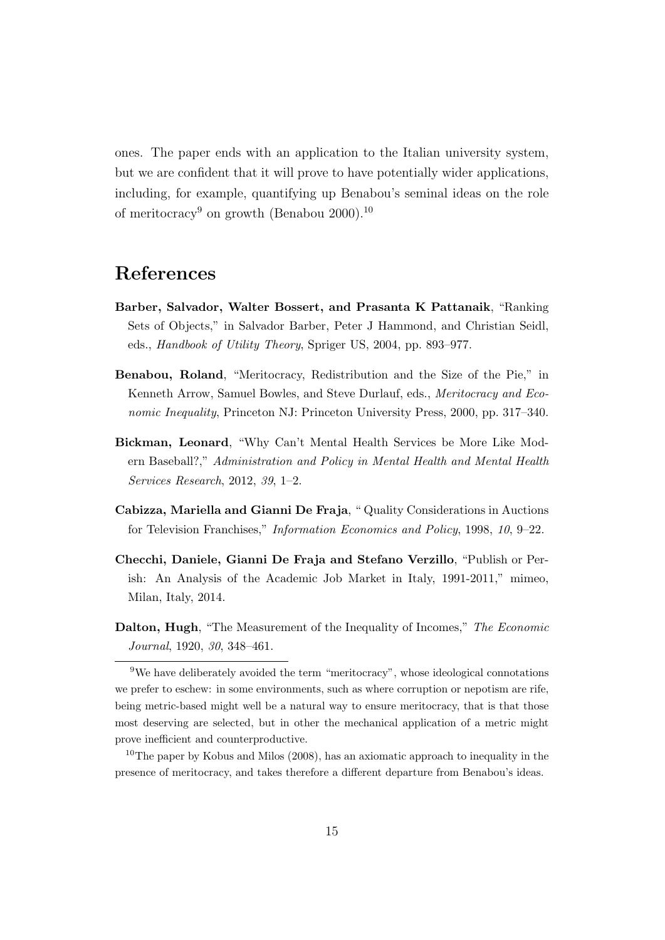ones. The paper ends with an application to the Italian university system, but we are confident that it will prove to have potentially wider applications, including, for example, quantifying up Benabou's seminal ideas on the role of meritocracy<sup>9</sup> on growth (Benabou 2000).<sup>10</sup>

#### References

- Barber, Salvador, Walter Bossert, and Prasanta K Pattanaik, "Ranking Sets of Objects," in Salvador Barber, Peter J Hammond, and Christian Seidl, eds., Handbook of Utility Theory, Spriger US, 2004, pp. 893–977.
- Benabou, Roland, "Meritocracy, Redistribution and the Size of the Pie," in Kenneth Arrow, Samuel Bowles, and Steve Durlauf, eds., Meritocracy and Economic Inequality, Princeton NJ: Princeton University Press, 2000, pp. 317–340.
- Bickman, Leonard, "Why Can't Mental Health Services be More Like Modern Baseball?," Administration and Policy in Mental Health and Mental Health Services Research, 2012, 39, 1–2.
- Cabizza, Mariella and Gianni De Fraja, " Quality Considerations in Auctions for Television Franchises," Information Economics and Policy, 1998, 10, 9–22.
- Checchi, Daniele, Gianni De Fraja and Stefano Verzillo, "Publish or Perish: An Analysis of the Academic Job Market in Italy, 1991-2011," mimeo, Milan, Italy, 2014.
- Dalton, Hugh, "The Measurement of the Inequality of Incomes," The Economic Journal, 1920, 30, 348–461.

<sup>9</sup>We have deliberately avoided the term "meritocracy", whose ideological connotations we prefer to eschew: in some environments, such as where corruption or nepotism are rife, being metric-based might well be a natural way to ensure meritocracy, that is that those most deserving are selected, but in other the mechanical application of a metric might prove inefficient and counterproductive.

<sup>&</sup>lt;sup>10</sup>The paper by Kobus and Milos (2008), has an axiomatic approach to inequality in the presence of meritocracy, and takes therefore a different departure from Benabou's ideas.